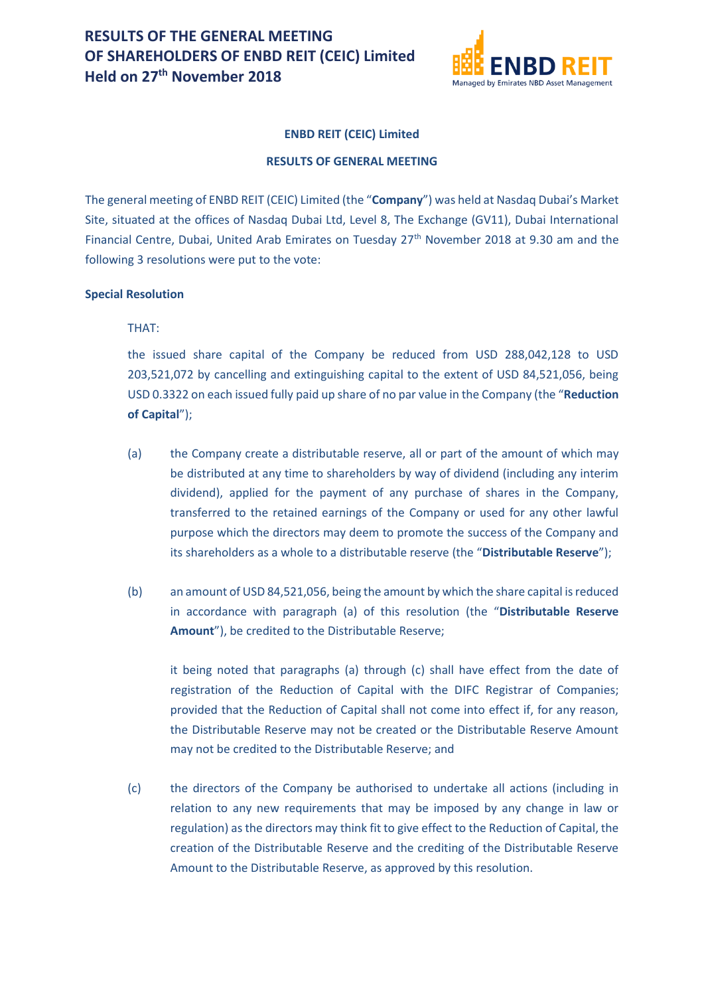

# **ENBD REIT (CEIC) Limited**

#### **RESULTS OF GENERAL MEETING**

The general meeting of ENBD REIT (CEIC) Limited (the "**Company**") was held at Nasdaq Dubai's Market Site, situated at the offices of Nasdaq Dubai Ltd, Level 8, The Exchange (GV11), Dubai International Financial Centre, Dubai, United Arab Emirates on Tuesday 27<sup>th</sup> November 2018 at 9.30 am and the following 3 resolutions were put to the vote:

#### **Special Resolution**

#### THAT:

the issued share capital of the Company be reduced from USD 288,042,128 to USD 203,521,072 by cancelling and extinguishing capital to the extent of USD 84,521,056, being USD 0.3322 on each issued fully paid up share of no par value in the Company (the "**Reduction of Capital**");

- (a) the Company create a distributable reserve, all or part of the amount of which may be distributed at any time to shareholders by way of dividend (including any interim dividend), applied for the payment of any purchase of shares in the Company, transferred to the retained earnings of the Company or used for any other lawful purpose which the directors may deem to promote the success of the Company and its shareholders as a whole to a distributable reserve (the "**Distributable Reserve**");
- (b) an amount of USD 84,521,056, being the amount by which the share capital is reduced in accordance with paragraph (a) of this resolution (the "**Distributable Reserve Amount**"), be credited to the Distributable Reserve;

it being noted that paragraphs (a) through (c) shall have effect from the date of registration of the Reduction of Capital with the DIFC Registrar of Companies; provided that the Reduction of Capital shall not come into effect if, for any reason, the Distributable Reserve may not be created or the Distributable Reserve Amount may not be credited to the Distributable Reserve; and

(c) the directors of the Company be authorised to undertake all actions (including in relation to any new requirements that may be imposed by any change in law or regulation) as the directors may think fit to give effect to the Reduction of Capital, the creation of the Distributable Reserve and the crediting of the Distributable Reserve Amount to the Distributable Reserve, as approved by this resolution.